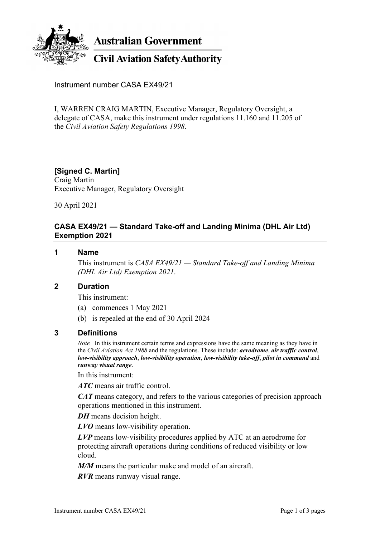

**Australian Government** 

# **Civil Aviation Safety Authority**

Instrument number CASA EX49/21

I, WARREN CRAIG MARTIN, Executive Manager, Regulatory Oversight, a delegate of CASA, make this instrument under regulations 11.160 and 11.205 of the *Civil Aviation Safety Regulations 1998*.

### **[Signed C. Martin]**

Craig Martin Executive Manager, Regulatory Oversight

30 April 2021

### **CASA EX49/21 — Standard Take-off and Landing Minima (DHL Air Ltd) Exemption 2021**

#### **1 Name**

This instrument is *CASA EX49/21 — Standard Take-off and Landing Minima (DHL Air Ltd) Exemption 2021*.

#### **2 Duration**

This instrument:

- (a) commences 1 May 2021
- (b) is repealed at the end of 30 April 2024

#### **3 Definitions**

*Note* In this instrument certain terms and expressions have the same meaning as they have in the *Civil Aviation Act 1988* and the regulations. These include: *aerodrome*, *air traffic control*, *low-visibility approach*, *low-visibility operation*, *low-visibility take-off*, *pilot in command* and *runway visual range*.

In this instrument:

*ATC* means air traffic control.

*CAT* means category, and refers to the various categories of precision approach operations mentioned in this instrument.

*DH* means decision height.

*LVO* means low-visibility operation.

*LVP* means low-visibility procedures applied by ATC at an aerodrome for protecting aircraft operations during conditions of reduced visibility or low cloud.

*M/M* means the particular make and model of an aircraft.

*RVR* means runway visual range.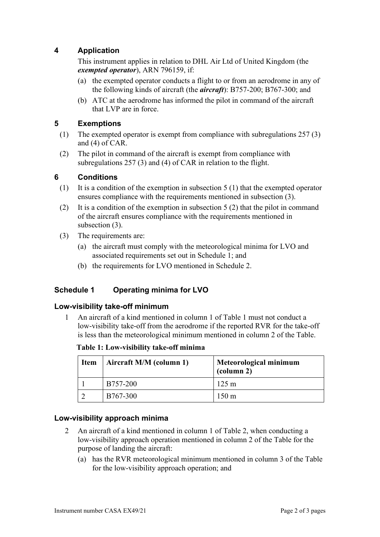# **4 Application**

This instrument applies in relation to DHL Air Ltd of United Kingdom (the *exempted operator*), ARN 796159, if:

- (a) the exempted operator conducts a flight to or from an aerodrome in any of the following kinds of aircraft (the *aircraft*): B757-200; B767-300; and
- (b) ATC at the aerodrome has informed the pilot in command of the aircraft that LVP are in force.

# **5 Exemptions**

- (1) The exempted operator is exempt from compliance with subregulations 257 (3) and (4) of CAR.
- (2) The pilot in command of the aircraft is exempt from compliance with subregulations 257 (3) and (4) of CAR in relation to the flight.

# **6 Conditions**

- (1) It is a condition of the exemption in subsection 5 (1) that the exempted operator ensures compliance with the requirements mentioned in subsection (3).
- (2) It is a condition of the exemption in subsection 5 (2) that the pilot in command of the aircraft ensures compliance with the requirements mentioned in subsection (3).
- (3) The requirements are:
	- (a) the aircraft must comply with the meteorological minima for LVO and associated requirements set out in Schedule 1; and
	- (b) the requirements for LVO mentioned in Schedule 2.

# **Schedule 1 Operating minima for LVO**

### **Low-visibility take-off minimum**

1 An aircraft of a kind mentioned in column 1 of Table 1 must not conduct a low-visibility take-off from the aerodrome if the reported RVR for the take-off is less than the meteorological minimum mentioned in column 2 of the Table.

**Table 1: Low-visibility take-off minima**

| <b>Item</b> | Aircraft M/M (column 1) | Meteorological minimum<br>(column 2) |
|-------------|-------------------------|--------------------------------------|
|             | B757-200                | $125 \text{ m}$                      |
|             | B767-300                | $150 \text{ m}$                      |

# **Low-visibility approach minima**

- 2 An aircraft of a kind mentioned in column 1 of Table 2, when conducting a low-visibility approach operation mentioned in column 2 of the Table for the purpose of landing the aircraft:
	- (a) has the RVR meteorological minimum mentioned in column 3 of the Table for the low-visibility approach operation; and